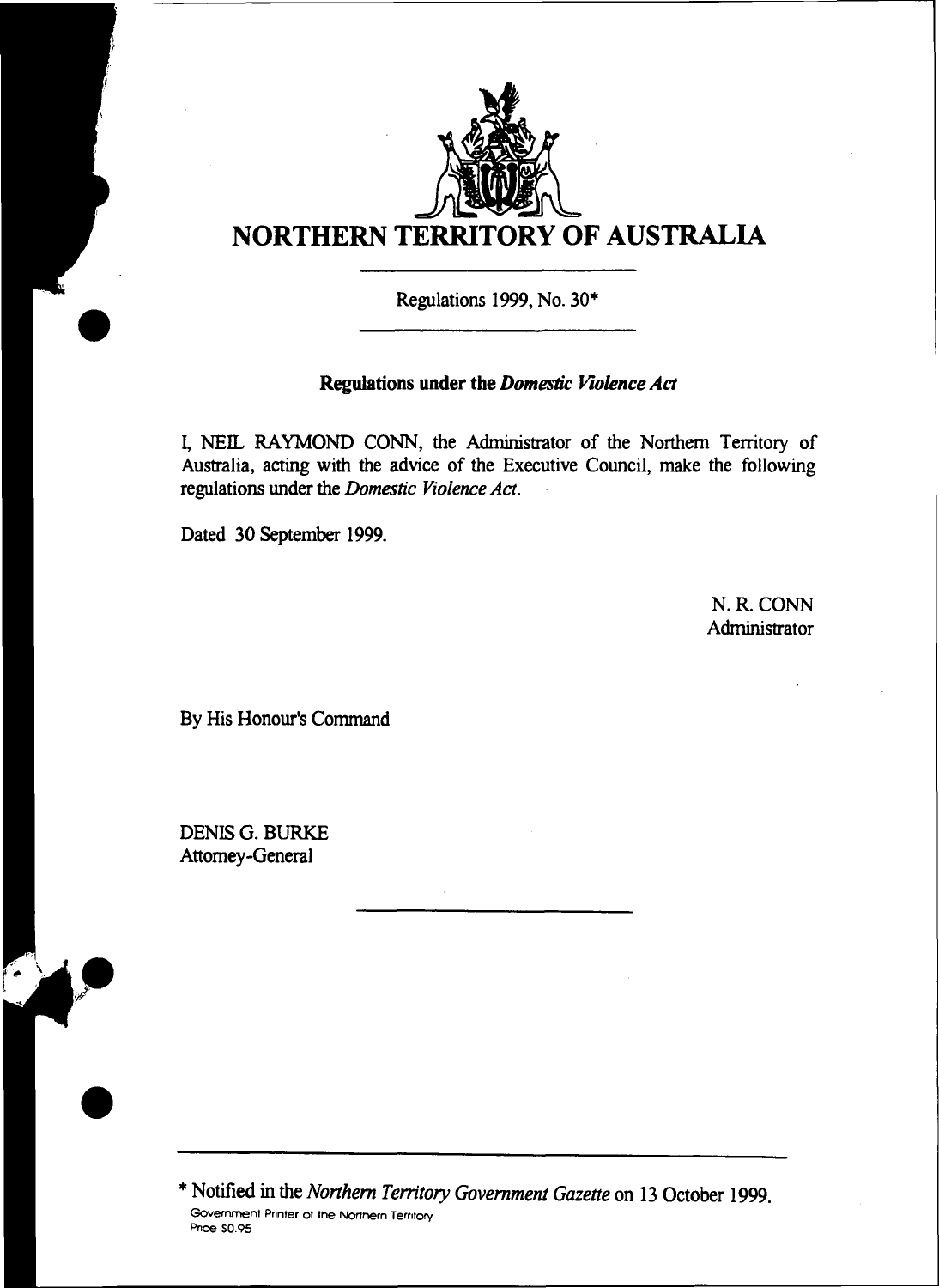

**Regulations 1999, No. 30\***

## **Regulations under the** *Domestic Violence Act*

**I, NEE. RAYMOND CONN, the Administrator of the Northern Territory of Australia, acting with the advice of the Executive Council, make the following regulations under the** *Domestic Violence Act.*

**Dated 30 September 1999.**

**N. R. CONN Administrator**

**By His Honour's Command**

**DENIS G. BURKE Attorney-General**

**\* Notified in the** *Northern Territory Government Gazette* **on 13 October 1999.** Government Printer of the Northern Territory<br>Price \$0.95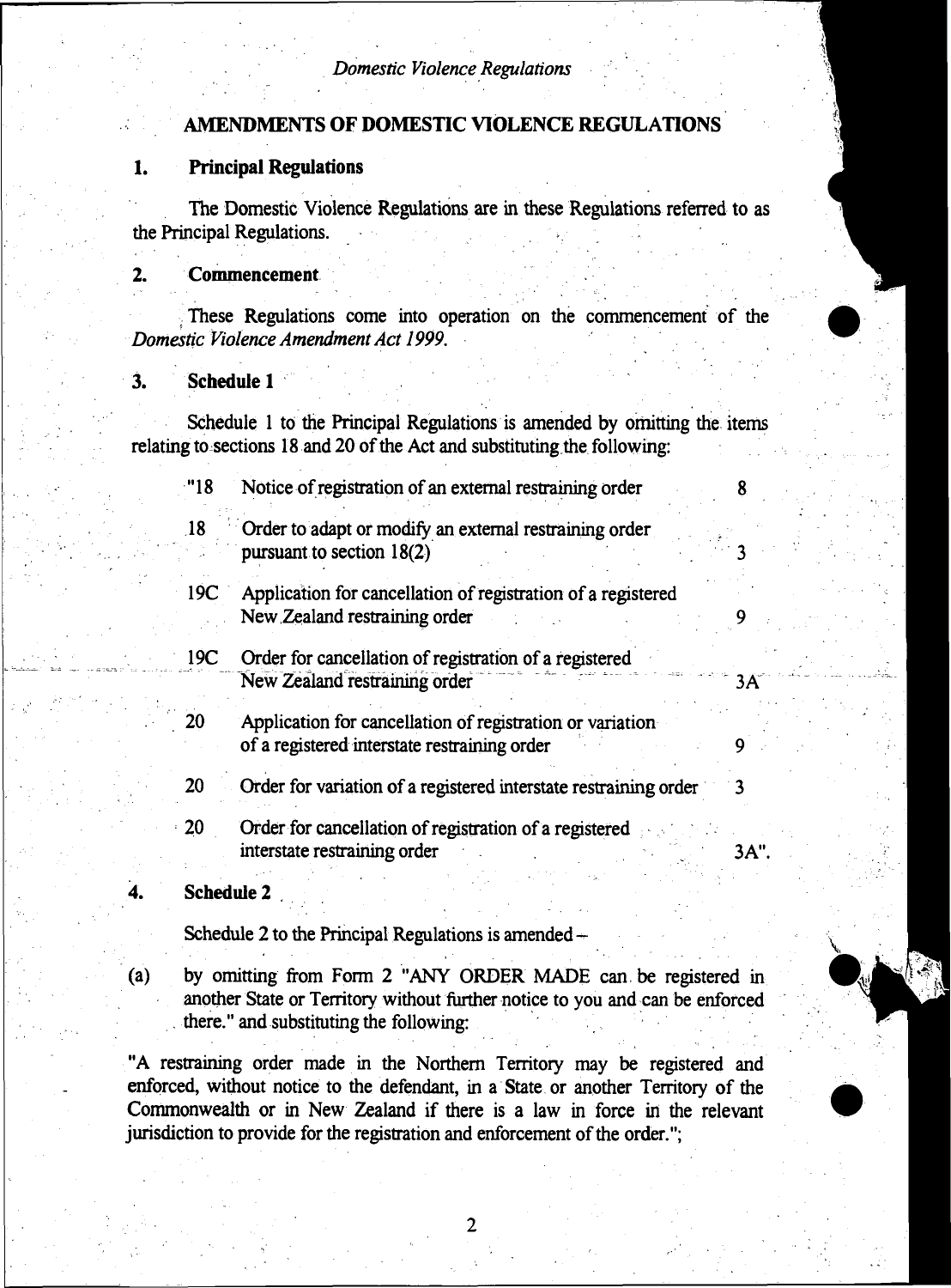## **AMENDMENTS OF DOMESTIC VIOLENCE REGULATIONS**

### **1. Principal Regulations**

**The Domestic Violence Regulations are in these Regulations referred to as the Principal Regulations.**

## **2. Commencement**

**These Regulations come into operation on the commencement of the** *Domestic Violence Amendment Act 1999.*

# **3. Schedule 1**

**Schedule 1 to the Principal Regulations is amended by orhitting the items relating to sections 18 and 20 of the Act and substituting the following:**

| "18             | Notice of registration of an external restraining order                                                   |      |
|-----------------|-----------------------------------------------------------------------------------------------------------|------|
| 18              | Order to adapt or modify an external restraining order<br>pursuant to section $18(2)$                     |      |
| 19C             | Application for cancellation of registration of a registered<br>New Zealand restraining order             |      |
| 19 <sub>C</sub> | Order for cancellation of registration of a registered<br>New Zealand restraining order                   | 3А   |
| 20              | Application for cancellation of registration or variation<br>of a registered interstate restraining order |      |
| 20              | Order for variation of a registered interstate restraining order                                          |      |
| 20              | Order for cancellation of registration of a registered<br>interstate restraining order                    | 3A". |

### **4. Schedule 2**

**Schedule 2 to the Principal Regulations is amended -**

**(a) by omitting from Form 2 "ANY ORDER MADE can be registered in another State or Territory without further notice to you and can be enforced . there." and substituting the following:**

**"A restraining order made in the Northern Territory may be registered and enforced, without notice to the defendant, in a State or another Territory of the Commonwealth or in New Zealand if there is a law in force in the relevant jurisdiction to provide for the registration and enforcement of the order.";**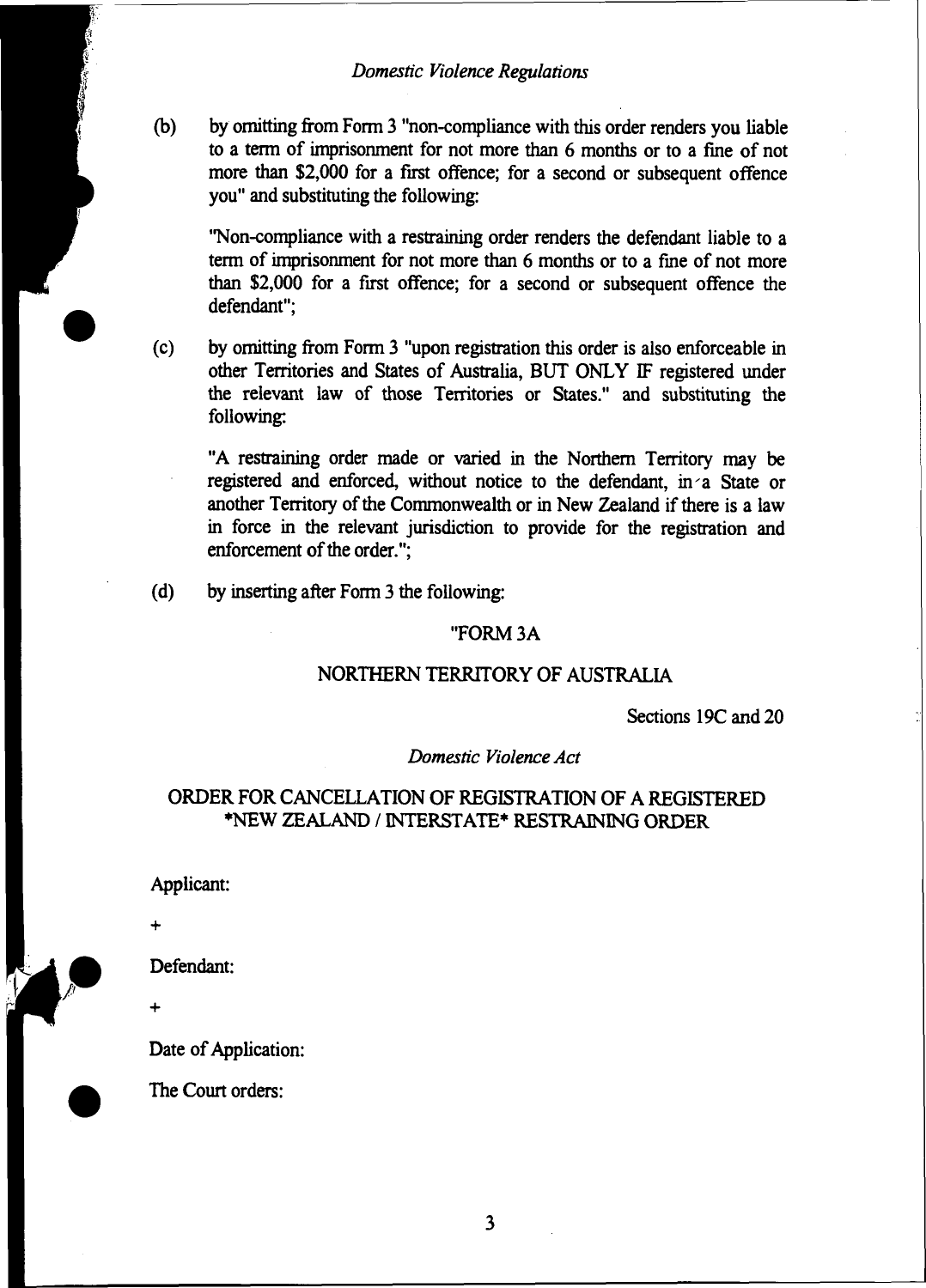### *Domestic Violence Regulations*

**(b) by omitting from Form 3 "non-compliance with this order renders you liable to a term of imprisonment for not more than 6 months or to a fine of not more than \$2,000 for a first offence; for a second or subsequent offence you" and substituting the following:**

**"Non-compliance with a restraining order renders the defendant liable to a term of imprisonment for not more than 6 months or to a fine of not more than \$2,000 for a first offence; for a second or subsequent offence the defendant";**

**(c) by omitting from Form 3 "upon registration this order is also enforceable in other Territories and States of Australia, BUT ONLY IF registered under the relevant law of those Territories or States." and substituting the following:**

**"A restraining order made or varied in the Northern Territory may be registered and enforced, without notice to the defendant, in'a State or another Territory of the Commonwealth or in New Zealand if there is a law in force in the relevant jurisdiction to provide for the registration and enforcement of the order.";**

**(d) by inserting after Form 3 the following:**

### **"FORM 3A**

### **NORTHERN TERRITORY OF AUSTRALIA**

**Sections 19C and 20**

*Domestic Violence Act*

### **ORDER FOR CANCELLATION OF REGISTRATION OF A REGISTERED ♦NEW ZEALAND / INTERSTATE\* RESTRAINING ORDER**

**Applicant:**

**Defendant:**

**Date of Application:**

**The Court orders:**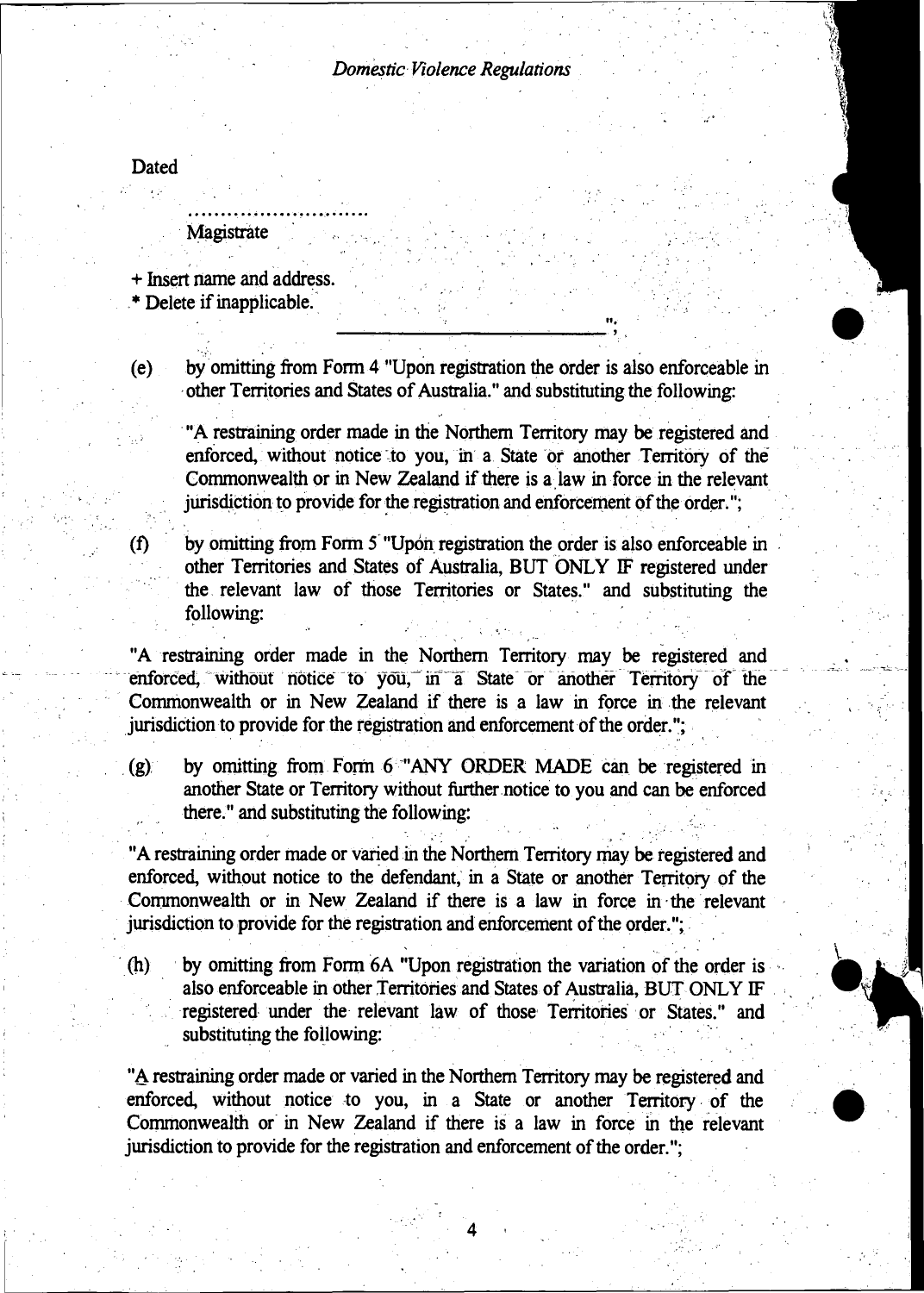#### *Domestic Violence Regulations*

**Dated**

**Magistrate**

**+ Insert name and address.**

**.\* Delete if inapplicable.**

**(e) by omitting from Form 4 "Upon registration the order is also enforceable in other Territories and States of Australia." and substituting the following:**

**"A restraining order made in the Northern Territory may be registered and enforced, without notice to you, in a State or another Territory of the Commonwealth or in New Zealand if there is a law in force in the relevant jurisdiction to provide for the registration and enforcement of the order.**

**(f) by omitting from Form 5 "Upon registration the order is also enforceable in other Territories and States of Australia, BUT ONLY IF registered under the relevant law of those Territories or States." and substituting the following:**

**"A restraining order made in the Northern Territory may be registered and enforced, without notice to you, in a State or another Territory of the Commonwealth or in New Zealand if there is a law in force in the relevant jurisdiction to provide for the registration and enforcement of the order.";**

**(g) by omitting from Form 6 "ANY ORDER MADE can be registered in another State or Territory without further notice to you and can be enforced there." and substituting the following:**

**"A restraining order made or varied in the Northern Territory may be registered and enforced, without notice to the defendant, in a State or another Territory of the Commonwealth or in New Zealand if there is a law in force in the relevant jurisdiction to provide for the registration and enforcement of the order.";**

**(h) by omitting from Form 6A "Upon registration the variation of the order is also enforceable in other Territories and States of Australia, BUT ONLY IF registered under the relevant law of those Territories or States." and substituting the following:**

**"A restraining order made or varied in the Northern Territory may be registered and enforced, without notice to you, in a State or another Territory of the Commonwealth or in New Zealand if there is a law in force in the relevant jurisdiction to provide for the registration and enforcement of the order.";**

4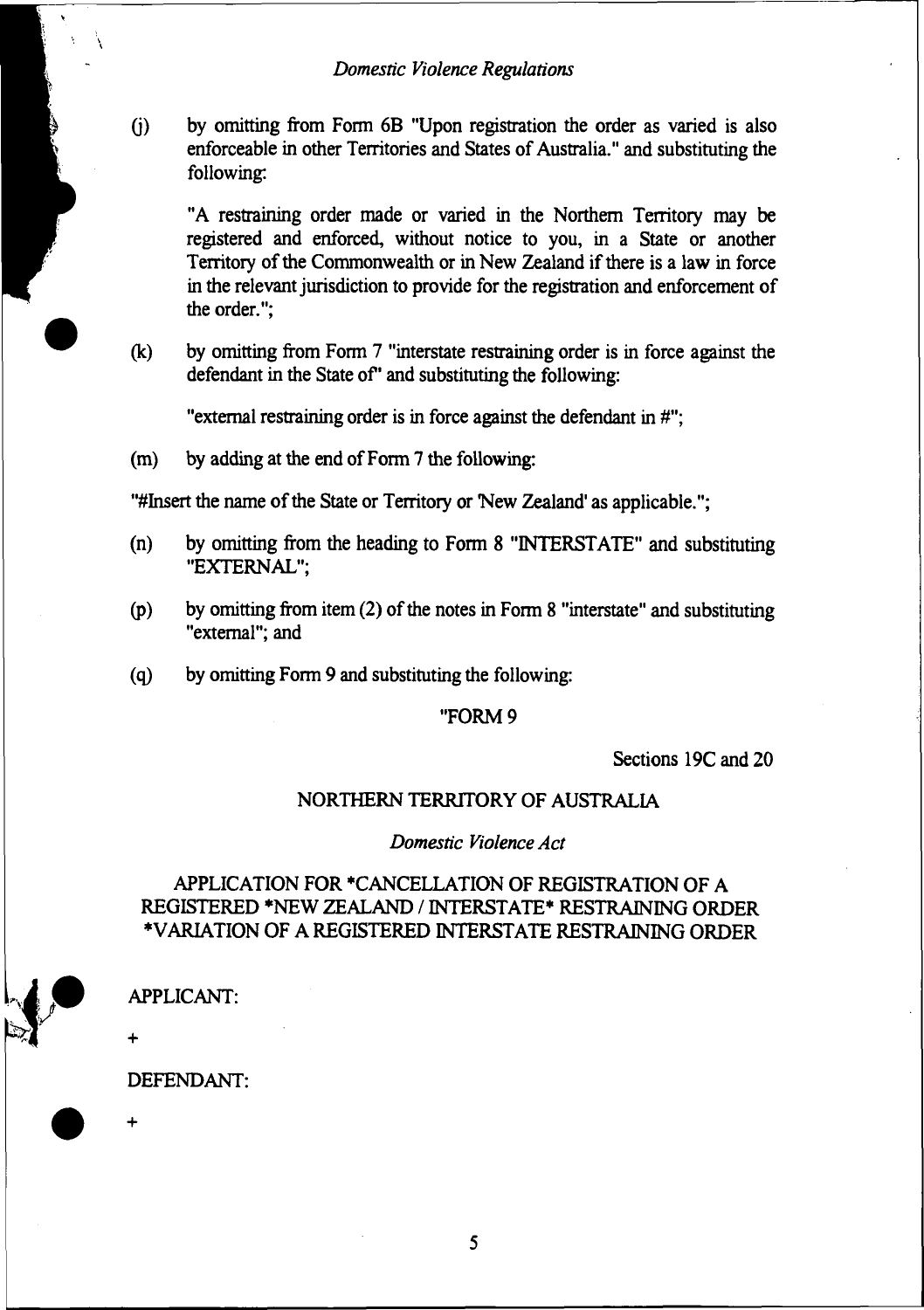**(j) by omitting from Form 6B "Upon registration the order as varied is also enforceable in other Territories and States of Australia." and substituting the following:**

**"A restraining order made or varied in the Northern Territory may be registered and enforced, without notice to you, in a State or another Territory of the Commonwealth or in New Zealand if there is a law in force in the relevant jurisdiction to provide for the registration and enforcement of the order.";**

**(k) by omitting from Form 7 "interstate restraining order is in force against the defendant in the State of\* and substituting die following:**

**"external restraining order is in force against the defendant in #";**

**(m) by adding at the end of Form 7 the following:**

**"#Insert the name of the State or Territory or New Zealand' as applicable.";**

- **(n) by omitting from the heading to Form 8 "INTERSTATE" and substituting "EXTERNAL";**
- **(p) by omitting from item (2) of the notes in Form 8 "interstate" and substituting "external"; and**
- **(q) by omitting Form 9 and substituting the following:**

#### **"FORM 9**

**Sections 19C and 20**

#### **NORTHERN TERRITORY OF AUSTRALIA**

*Domestic Violence Act*

## **APPLICATION FOR 'CANCELLATION OF REGISTRATION OF A REGISTERED \*NEW ZEALAND / INTERSTATE\* RESTRAINING ORDER ♦VARIATION OF A REGISTERED INTERSTATE RESTRAINING ORDER**



**APPLICANT:**

**DEFENDANT:**

5